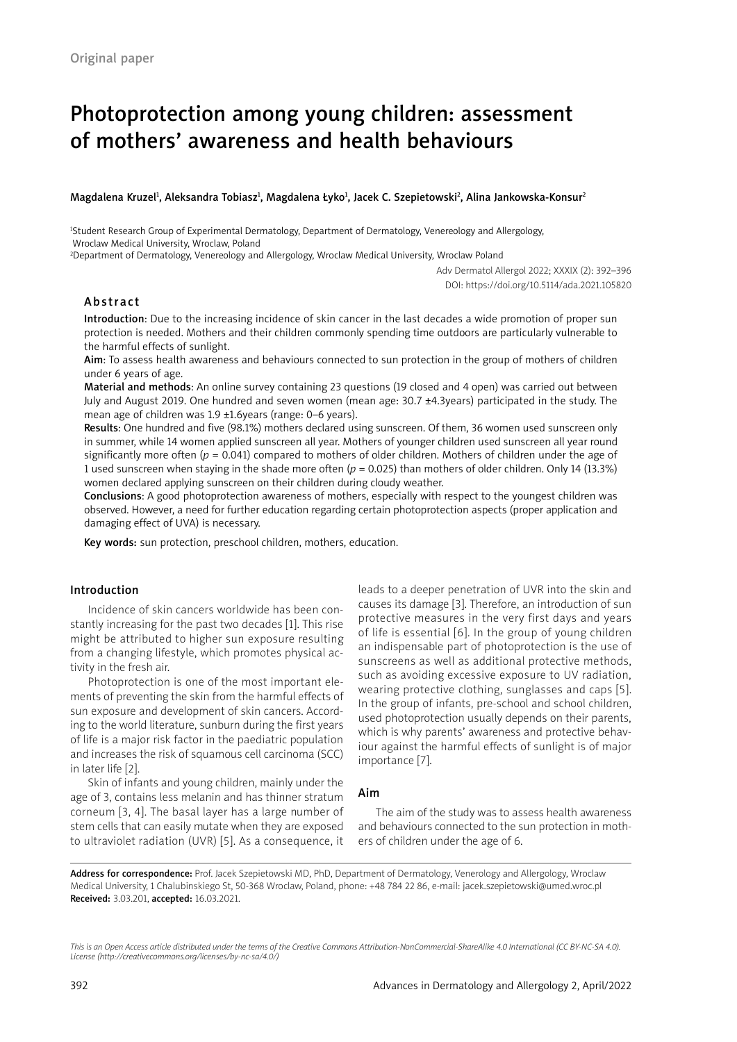# Photoprotection among young children: assessment of mothers' awareness and health behaviours

## Magdalena Kruzel<sup>ı</sup>, Aleksandra Tobiasz<sup>ı</sup>, Magdalena Łyko<sup>ı</sup>, Jacek C. Szepietowski<sup>2</sup>, Alina Jankowska-Konsur<sup>2</sup>

1 Student Research Group of Experimental Dermatology, Department of Dermatology, Venereology and Allergology, Wroclaw Medical University, Wroclaw, Poland

2 Department of Dermatology, Venereology and Allergology, Wroclaw Medical University, Wroclaw Poland

Adv Dermatol Allergol 2022; XXXIX (2): 392–396 DOI: https://doi.org/10.5114/ada.2021.105820

# Abstract

Introduction: Due to the increasing incidence of skin cancer in the last decades a wide promotion of proper sun protection is needed. Mothers and their children commonly spending time outdoors are particularly vulnerable to the harmful effects of sunlight.

Aim: To assess health awareness and behaviours connected to sun protection in the group of mothers of children under 6 years of age.

Material and methods: An online survey containing 23 questions (19 closed and 4 open) was carried out between July and August 2019. One hundred and seven women (mean age: 30.7 ±4.3years) participated in the study. The mean age of children was 1.9 ±1.6years (range: 0–6 years).

Results: One hundred and five (98.1%) mothers declared using sunscreen. Of them, 36 women used sunscreen only in summer, while 14 women applied sunscreen all year. Mothers of younger children used sunscreen all year round significantly more often (*p* = 0.041) compared to mothers of older children. Mothers of children under the age of 1 used sunscreen when staying in the shade more often (*p* = 0.025) than mothers of older children. Only 14 (13.3%) women declared applying sunscreen on their children during cloudy weather.

Conclusions: A good photoprotection awareness of mothers, especially with respect to the youngest children was observed. However, a need for further education regarding certain photoprotection aspects (proper application and damaging effect of UVA) is necessary.

Key words: sun protection, preschool children, mothers, education.

# Introduction

Incidence of skin cancers worldwide has been constantly increasing for the past two decades [1]. This rise might be attributed to higher sun exposure resulting from a changing lifestyle, which promotes physical activity in the fresh air.

Photoprotection is one of the most important elements of preventing the skin from the harmful effects of sun exposure and development of skin cancers. According to the world literature, sunburn during the first years of life is a major risk factor in the paediatric population and increases the risk of squamous cell carcinoma (SCC) in later life [2].

Skin of infants and young children, mainly under the age of 3, contains less melanin and has thinner stratum corneum [3, 4]. The basal layer has a large number of stem cells that can easily mutate when they are exposed to ultraviolet radiation (UVR) [5]. As a consequence, it leads to a deeper penetration of UVR into the skin and causes its damage [3]. Therefore, an introduction of sun protective measures in the very first days and years of life is essential [6]. In the group of young children an indispensable part of photoprotection is the use of sunscreens as well as additional protective methods, such as avoiding excessive exposure to UV radiation, wearing protective clothing, sunglasses and caps [5]. In the group of infants, pre-school and school children, used photoprotection usually depends on their parents, which is why parents' awareness and protective behaviour against the harmful effects of sunlight is of major importance [7].

# Aim

The aim of the study was to assess health awareness and behaviours connected to the sun protection in mothers of children under the age of 6.

Address for correspondence: Prof. Jacek Szepietowski MD, PhD, Department of Dermatology, Venerology and Allergology, Wroclaw Medical University, 1 Chalubinskiego St, 50-368 Wroclaw, Poland, phone: +48 784 22 86, e-mail: jacek.szepietowski@umed.wroc.pl Received: 3.03.201, accepted: 16.03.2021.

*This is an Open Access article distributed under the terms of the Creative Commons Attribution-NonCommercial-ShareAlike 4.0 International (CC BY-NC-SA 4.0). License (http://creativecommons.org/licenses/by-nc-sa/4.0/)*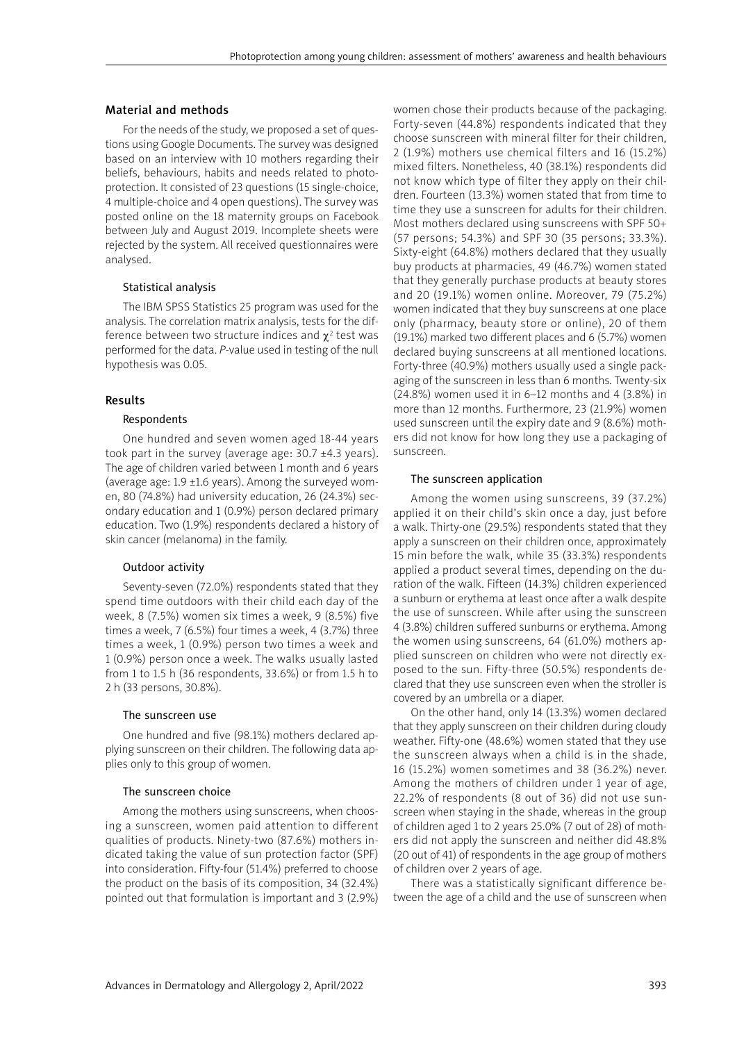#### Material and methods

For the needs of the study, we proposed a set of questions using Google Documents. The survey was designed based on an interview with 10 mothers regarding their beliefs, behaviours, habits and needs related to photoprotection. It consisted of 23 questions (15 single-choice, 4 multiple-choice and 4 open questions). The survey was posted online on the 18 maternity groups on Facebook between July and August 2019. Incomplete sheets were rejected by the system. All received questionnaires were analysed.

#### Statistical analysis

The IBM SPSS Statistics 25 program was used for the analysis. The correlation matrix analysis, tests for the difference between two structure indices and  $\chi^2$  test was performed for the data. *P*-value used in testing of the null hypothesis was 0.05.

## Results

#### Respondents

One hundred and seven women aged 18-44 years took part in the survey (average age:  $30.7 \pm 4.3$  years). The age of children varied between 1 month and 6 years (average age:  $1.9 \pm 1.6$  years). Among the surveyed women, 80 (74.8%) had university education, 26 (24.3%) secondary education and 1 (0.9%) person declared primary education. Two (1.9%) respondents declared a history of skin cancer (melanoma) in the family.

#### Outdoor activity

Seventy-seven (72.0%) respondents stated that they spend time outdoors with their child each day of the week, 8 (7.5%) women six times a week, 9 (8.5%) five times a week, 7 (6.5%) four times a week, 4 (3.7%) three times a week, 1 (0.9%) person two times a week and 1 (0.9%) person once a week. The walks usually lasted from 1 to 1.5 h (36 respondents, 33.6%) or from 1.5 h to 2 h (33 persons, 30.8%).

#### The sunscreen use

One hundred and five (98.1%) mothers declared applying sunscreen on their children. The following data applies only to this group of women.

# The sunscreen choice

Among the mothers using sunscreens, when choosing a sunscreen, women paid attention to different qualities of products. Ninety-two (87.6%) mothers indicated taking the value of sun protection factor (SPF) into consideration. Fifty-four (51.4%) preferred to choose the product on the basis of its composition, 34 (32.4%) pointed out that formulation is important and 3 (2.9%) women chose their products because of the packaging. Forty-seven (44.8%) respondents indicated that they choose sunscreen with mineral filter for their children, 2 (1.9%) mothers use chemical filters and 16 (15.2%) mixed filters. Nonetheless, 40 (38.1%) respondents did not know which type of filter they apply on their children. Fourteen (13.3%) women stated that from time to time they use a sunscreen for adults for their children. Most mothers declared using sunscreens with SPF 50+ (57 persons; 54.3%) and SPF 30 (35 persons; 33.3%). Sixty-eight (64.8%) mothers declared that they usually buy products at pharmacies, 49 (46.7%) women stated that they generally purchase products at beauty stores and 20 (19.1%) women online. Moreover, 79 (75.2%) women indicated that they buy sunscreens at one place only (pharmacy, beauty store or online), 20 of them (19.1%) marked two different places and 6 (5.7%) women declared buying sunscreens at all mentioned locations. Forty-three (40.9%) mothers usually used a single packaging of the sunscreen in less than 6 months. Twenty-six (24.8%) women used it in 6–12 months and 4 (3.8%) in more than 12 months. Furthermore, 23 (21.9%) women used sunscreen until the expiry date and 9 (8.6%) mothers did not know for how long they use a packaging of sunscreen.

# The sunscreen application

Among the women using sunscreens, 39 (37.2%) applied it on their child's skin once a day, just before a walk. Thirty-one (29.5%) respondents stated that they apply a sunscreen on their children once, approximately 15 min before the walk, while 35 (33.3%) respondents applied a product several times, depending on the duration of the walk. Fifteen (14.3%) children experienced a sunburn or erythema at least once after a walk despite the use of sunscreen. While after using the sunscreen 4 (3.8%) children suffered sunburns or erythema. Among the women using sunscreens, 64 (61.0%) mothers applied sunscreen on children who were not directly exposed to the sun. Fifty-three (50.5%) respondents declared that they use sunscreen even when the stroller is covered by an umbrella or a diaper.

On the other hand, only 14 (13.3%) women declared that they apply sunscreen on their children during cloudy weather. Fifty-one (48.6%) women stated that they use the sunscreen always when a child is in the shade, 16 (15.2%) women sometimes and 38 (36.2%) never. Among the mothers of children under 1 year of age, 22.2% of respondents (8 out of 36) did not use sunscreen when staying in the shade, whereas in the group of children aged 1 to 2 years 25.0% (7 out of 28) of mothers did not apply the sunscreen and neither did 48.8% (20 out of 41) of respondents in the age group of mothers of children over 2 years of age.

There was a statistically significant difference between the age of a child and the use of sunscreen when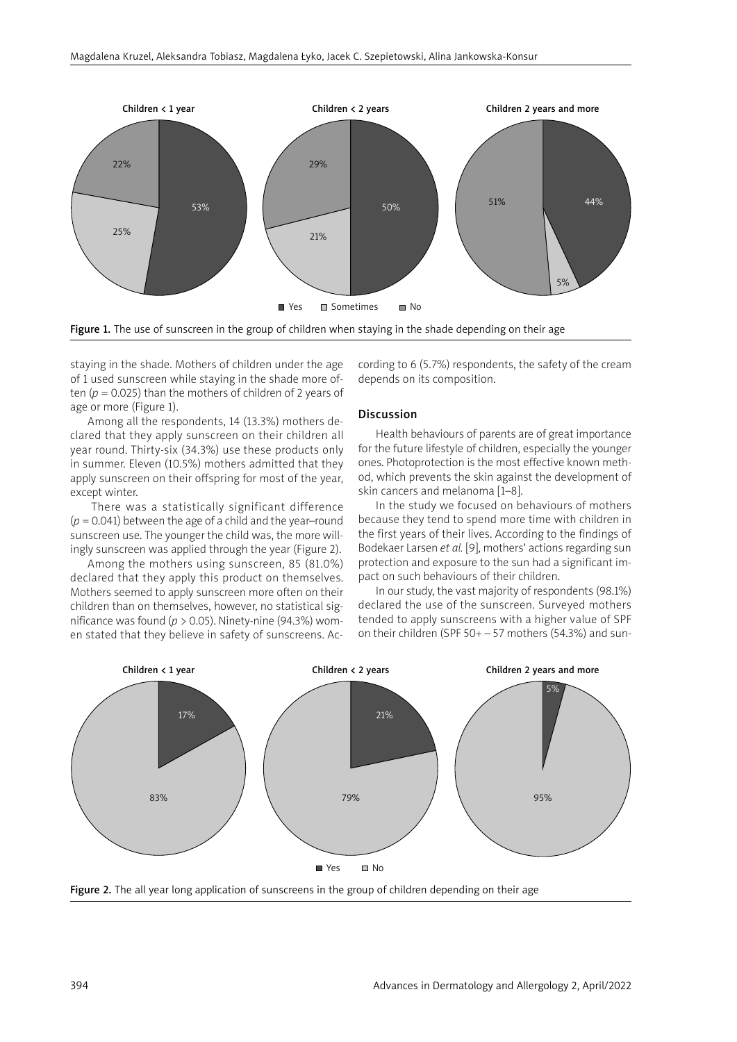

Figure 1. The use of sunscreen in the group of children when staying in the shade depending on their age

staying in the shade. Mothers of children under the age of 1 used sunscreen while staying in the shade more often (*p* = 0.025) than the mothers of children of 2 years of age or more (Figure 1).

Among all the respondents, 14 (13.3%) mothers declared that they apply sunscreen on their children all year round. Thirty-six (34.3%) use these products only in summer. Eleven (10.5%) mothers admitted that they apply sunscreen on their offspring for most of the year, except winter.

There was a statistically significant difference  $(p = 0.041)$  between the age of a child and the year–round sunscreen use. The younger the child was, the more willingly sunscreen was applied through the year (Figure 2).

Among the mothers using sunscreen, 85 (81.0%) declared that they apply this product on themselves. Mothers seemed to apply sunscreen more often on their children than on themselves, however, no statistical significance was found ( $p > 0.05$ ). Ninety-nine (94.3%) women stated that they believe in safety of sunscreens. According to 6 (5.7%) respondents, the safety of the cream depends on its composition.

# Discussion

Health behaviours of parents are of great importance for the future lifestyle of children, especially the younger ones. Photoprotection is the most effective known method, which prevents the skin against the development of skin cancers and melanoma [1–8].

In the study we focused on behaviours of mothers because they tend to spend more time with children in the first years of their lives. According to the findings of Bodekaer Larsen *et al.* [9], mothers' actions regarding sun protection and exposure to the sun had a significant impact on such behaviours of their children.

In our study, the vast majority of respondents (98.1%) declared the use of the sunscreen. Surveyed mothers tended to apply sunscreens with a higher value of SPF on their children (SPF 50+ – 57 mothers (54.3%) and sun-



Figure 2. The all year long application of sunscreens in the group of children depending on their age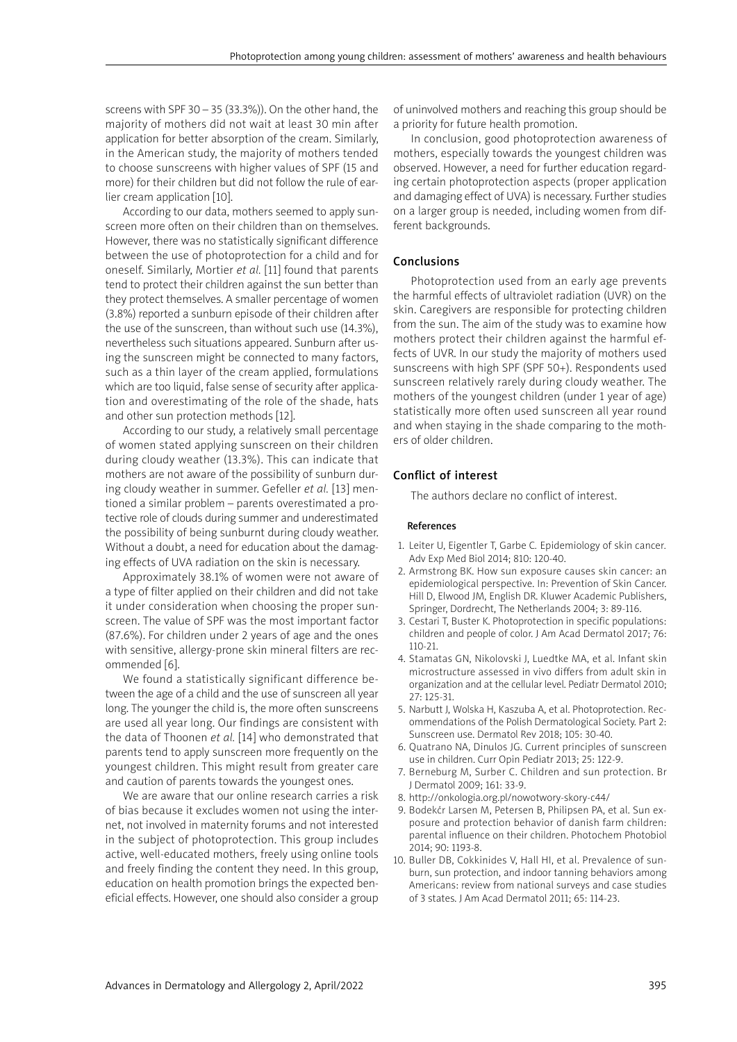screens with SPF 30  $-$  35 (33.3%)). On the other hand, the majority of mothers did not wait at least 30 min after application for better absorption of the cream. Similarly, in the American study, the majority of mothers tended to choose sunscreens with higher values of SPF (15 and more) for their children but did not follow the rule of earlier cream application [10].

According to our data, mothers seemed to apply sunscreen more often on their children than on themselves. However, there was no statistically significant difference between the use of photoprotection for a child and for oneself. Similarly, Mortier *et al.* [11] found that parents tend to protect their children against the sun better than they protect themselves. A smaller percentage of women (3.8%) reported a sunburn episode of their children after the use of the sunscreen, than without such use (14.3%), nevertheless such situations appeared. Sunburn after using the sunscreen might be connected to many factors, such as a thin layer of the cream applied, formulations which are too liquid, false sense of security after application and overestimating of the role of the shade, hats and other sun protection methods [12].

According to our study, a relatively small percentage of women stated applying sunscreen on their children during cloudy weather (13.3%). This can indicate that mothers are not aware of the possibility of sunburn during cloudy weather in summer. Gefeller *et al.* [13] mentioned a similar problem – parents overestimated a protective role of clouds during summer and underestimated the possibility of being sunburnt during cloudy weather. Without a doubt, a need for education about the damaging effects of UVA radiation on the skin is necessary.

Approximately 38.1% of women were not aware of a type of filter applied on their children and did not take it under consideration when choosing the proper sunscreen. The value of SPF was the most important factor (87.6%). For children under 2 years of age and the ones with sensitive, allergy-prone skin mineral filters are recommended [6].

We found a statistically significant difference between the age of a child and the use of sunscreen all year long. The younger the child is, the more often sunscreens are used all year long. Our findings are consistent with the data of Thoonen *et al.* [14] who demonstrated that parents tend to apply sunscreen more frequently on the youngest children. This might result from greater care and caution of parents towards the youngest ones.

We are aware that our online research carries a risk of bias because it excludes women not using the internet, not involved in maternity forums and not interested in the subject of photoprotection. This group includes active, well-educated mothers, freely using online tools and freely finding the content they need. In this group, education on health promotion brings the expected beneficial effects. However, one should also consider a group of uninvolved mothers and reaching this group should be a priority for future health promotion.

In conclusion, good photoprotection awareness of mothers, especially towards the youngest children was observed. However, a need for further education regarding certain photoprotection aspects (proper application and damaging effect of UVA) is necessary. Further studies on a larger group is needed, including women from different backgrounds.

# Conclusions

Photoprotection used from an early age prevents the harmful effects of ultraviolet radiation (UVR) on the skin. Caregivers are responsible for protecting children from the sun. The aim of the study was to examine how mothers protect their children against the harmful effects of UVR. In our study the majority of mothers used sunscreens with high SPF (SPF 50+). Respondents used sunscreen relatively rarely during cloudy weather. The mothers of the youngest children (under 1 year of age) statistically more often used sunscreen all year round and when staying in the shade comparing to the mothers of older children.

# Conflict of interest

The authors declare no conflict of interest.

#### **References**

- 1. Leiter U, Eigentler T, Garbe C*.* Epidemiology of skin cancer*.*  Adv Exp Med Biol 2014; 810: 120-40.
- 2. Armstrong BK. How sun exposure causes skin cancer: an epidemiological perspective. In: Prevention of Skin Cancer. Hill D, Elwood JM, English DR. Kluwer Academic Publishers, Springer, Dordrecht, The Netherlands 2004; 3: 89-116.
- 3. Cestari T, Buster K. Photoprotection in specific populations: children and people of color. J Am Acad Dermatol 2017; 76: 110-21.
- 4. Stamatas GN, Nikolovski J, Luedtke MA, et al. Infant skin microstructure assessed in vivo differs from adult skin in organization and at the cellular level. Pediatr Dermatol 2010; 27: 125-31.
- 5. Narbutt J, Wolska H, Kaszuba A, et al. Photoprotection. Recommendations of the Polish Dermatological Society. Part 2: Sunscreen use. Dermatol Rev 2018; 105: 30-40.
- 6. Quatrano NA, Dinulos JG. Current principles of sunscreen use in children. Curr Opin Pediatr 2013; 25: 122-9.
- 7. Berneburg M, Surber C. Children and sun protection. Br J Dermatol 2009; 161: 33-9.
- 8. http://onkologia.org.pl/nowotwory-skory-c44/
- 9. Bodekćr Larsen M, Petersen B, Philipsen PA, et al. Sun exposure and protection behavior of danish farm children: parental influence on their children. Photochem Photobiol 2014; 90: 1193-8.
- 10. Buller DB, Cokkinides V, Hall HI, et al. Prevalence of sunburn, sun protection, and indoor tanning behaviors among Americans: review from national surveys and case studies of 3 states. J Am Acad Dermatol 2011; 65: 114-23.